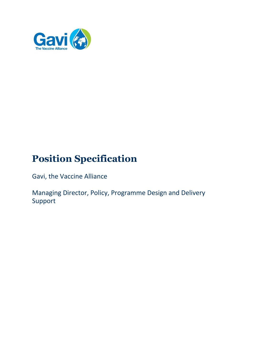

# **Position Specification**

Gavi, the Vaccine Alliance

Managing Director, Policy, Programme Design and Delivery Support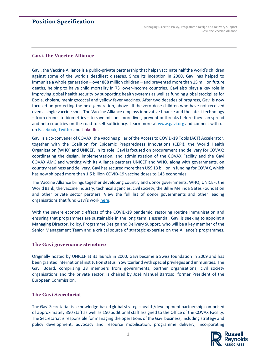## **Position Specification**

## **Gavi, the Vaccine Alliance**

Gavi, the Vaccine Alliance is a public-private partnership that helps vaccinate half the world's children against some of the world's deadliest diseases. Since its inception in 2000, Gavi has helped to immunise a whole generation – over 888 million children – and prevented more than 15 million future deaths, helping to halve child mortality in 73 lower-income countries. Gavi also plays a key role in improving global health security by supporting health systems as well as funding global stockpiles for Ebola, cholera, meningococcal and yellow fever vaccines. After two decades of progress, Gavi is now focused on protecting the next generation, above all the zero-dose children who have not received even a single vaccine shot. The Vaccine Alliance employs innovative finance and the latest technology – from drones to biometrics – to save millions more lives, prevent outbreaks before they can spread and help countries on the road to self-sufficiency. Learn more at [www.gavi.org](https://www.gavi.org/homepage) and connect with us on [Facebook,](https://www.facebook.com/GAVI/) [Twitter](https://twitter.com/gavi) and [LinkedIn.](https://www.linkedin.com/company/gavi/)

Gavi is a co-convener of COVAX, the vaccines pillar of the Access to COVID-19 Tools (ACT) Accelerator, together with the Coalition for Epidemic Preparedness Innovations (CEPI), the World Health Organization (WHO) and UNICEF. In its role, Gavi is focused on procurement and delivery for COVAX: coordinating the design, implementation, and administration of the COVAX Facility and the Gavi COVAX AMC and working with its Alliance partners UNICEF and WHO, along with governments, on country readiness and delivery. Gavi has secured more than US\$ 13 billion in funding for COVAX, which has now shipped more than 1.5 billion COVID-19 vaccine doses to 145 economies.

The Vaccine Alliance brings together developing country and donor governments, WHO, UNICEF, the World Bank, the vaccine industry, technical agencies, civil society, the Bill & Melinda Gates Foundation and other private sector partners. View the full list of donor governments and other leading organisations that fund Gavi's work [here.](https://www.gavi.org/investing-gavi/funding/donor-profiles)

With the severe economic effects of the COVID-19 pandemic, restoring routine immunisation and ensuring that programmes are sustainable in the long term is essential. Gavi is seeking to appoint a Managing Director, Policy, Programme Design and Delivery Support, who will be a key member of the Senior Management Team and a critical source of strategic expertise on the Alliance's programmes.

## **The Gavi governance structure**

Originally hosted by UNICEF at its launch in 2000, Gavi became a Swiss foundation in 2009 and has been granted international institution status in Switzerland with special privileges and immunities. The Gavi Board, comprising 28 members from governments, partner organisations, civil society organisations and the private sector, is chaired by José Manuel Barroso, former President of the European Commission.

## **The Gavi Secretariat**

The Gavi Secretariat is a knowledge-based global strategic health/development partnership comprised of approximately 350 staff as well as 150 additional staff assigned to the Office of the COVAX Facility. The Secretariat is responsible for managing the operations of the Gavi business, including strategy and policy development; advocacy and resource mobilisation; programme delivery, incorporating

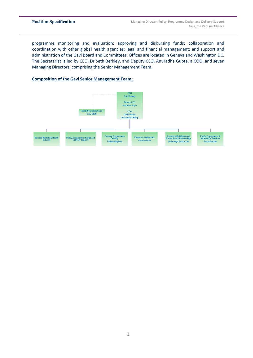programme monitoring and evaluation; approving and disbursing funds; collaboration and coordination with other global health agencies; legal and financial management; and support and administration of the Gavi Board and Committees. Offices are located in Geneva and Washington DC. The Secretariat is led by CEO, Dr Seth Berkley, and Deputy CEO, Anuradha Gupta, a COO, and seven Managing Directors, comprising the Senior Management Team.

## **Composition of the Gavi Senior Management Team:**

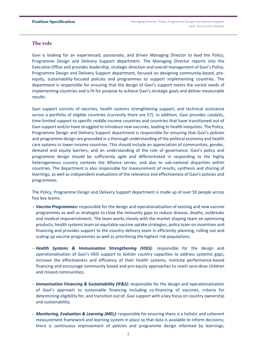## **The role**

Gavi is looking for an experienced, passionate, and driven Managing Director to lead the Policy, Programme Design and Delivery Support department. The Managing Director reports into the Executive Office and provides leadership, strategic direction and overall management of Gavi's Policy, Programme Design and Delivery Support department, focused on designing community-based, proequity, sustainability-focused policies and programmes to support implementing countries. The department is responsible for ensuring that the design of Gavi's support meets the varied needs of implementing countries and is fit for purpose to achieve Gavi's strategic goals and deliver measurable results.

Gavi support consists of vaccines, health systems strengthening support, and technical assistance across a portfolio of eligible countries (currently there are 57). In addition, Gavi provides catalytic, time-limited support to specific middle-income countries and countries that have transitioned out of Gavi support and/or have struggled to introduce new vaccines, leading to health inequities. The Policy, Programme Design and Delivery Support department is responsible for ensuring that Gavi's policies and programme design are grounded in a thorough understanding of the political economy and health care systems in lower-income countries. This should include an appreciation of communities, gender, demand and equity barriers, and an understanding of the role of governance. Gavi's policy and programme design should be sufficiently agile and differentiated in responding to the highly heterogeneous country contexts the Alliance serves, and also to sub-national disparities within countries. The department is also responsible for measurement of results, synthesis and sharing of learnings, as well as independent evaluations of the relevance and effectiveness of Gavi's policies and programmes.

The Policy, Programme Design and Delivery Support department is made up of over 50 people across five key teams:

- − *Vaccine Programmes:* responsible for the design and operationalisation of existing and new vaccine programmes as well as strategies to close the immunity gaps to reduce disease, deaths, outbreaks and medical impoverishment. The team works closely with the market shaping team on optimising products, health systems team on equitable vaccine uptake strategies, policy team on incentives and financing and provides support to the country delivery team in efficiently planning, rolling out and scaling up vaccine programmes as well as prioritising the highest risk populations.
- − *Health Systems & Immunisation Strengthening (HSIS)*: responsible for the design and operationalisation of Gavi's HSIS support to bolster country capacities to address systemic gaps, increase the effectiveness and efficiency of their health systems, institute performance-based financing and encourage community based and pro-equity approaches to reach zero-dose children and missed communities;
- − *Immunisation Financing & Sustainability (IF&S):* responsible for the design and operationalisation of Gavi's approach to sustainable financing including co-financing of vaccines, criteria for determining eligibility for, and transition out of, Gavi support with a key focus on country ownership and sustainability;
- − *Monitoring, Evaluation & Learning (MEL):* responsible for ensuring there is a holistic and coherent measurement framework and learning system in place so that data is available to inform decisions; there is continuous improvement of policies and programme design informed by learnings;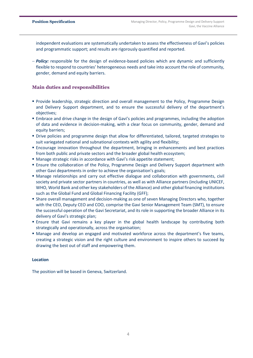independent evaluations are systematically undertaken to assess the effectiveness of Gavi's policies and programmatic support; and results are rigorously quantified and reported.

− *Policy:* responsible for the design of evidence-based policies which are dynamic and sufficiently flexible to respond to countries' heterogeneous needs and take into account the role of community, gender, demand and equity barriers.

## **Main duties and responsibilities**

- **Provide leadership, strategic direction and overall management to the Policy, Programme Design** and Delivery Support department, and to ensure the successful delivery of the department's objectives;
- **Embrace and drive change in the design of Gavi's policies and programmes, including the adoption** of data and evidence in decision-making, with a clear focus on community, gender, demand and equity barriers;
- Drive policies and programme design that allow for differentiated, tailored, targeted strategies to suit variegated national and subnational contexts with agility and flexibility;
- **Encourage innovation throughout the department, bringing in enhancements and best practices** from both public and private sectors and the broader global health ecosystem;
- Manage strategic risks in accordance with Gavi's risk appetite statement;
- **Ensure the collaboration of the Policy, Programme Design and Delivery Support department with** other Gavi departments in order to achieve the organisation's goals;
- Manage relationships and carry out effective dialogue and collaboration with governments, civil society and private sector partners in countries, as well as with Alliance partners (including UNICEF, WHO, World Bank and other key stakeholders of the Alliance) and other global financing institutions such as the Global Fund and Global Financing Facility (GFF);
- **Share overall management and decision-making as one of seven Managing Directors who, together** with the CEO, Deputy CEO and COO, comprise the Gavi Senior Management Team (SMT), to ensure the successful operation of the Gavi Secretariat, and its role in supporting the broader Alliance in its delivery of Gavi's strategic plan;
- **Ensure that Gavi remains a key player in the global health landscape by contributing both** strategically and operationally, across the organisation;
- **Manage and develop an engaged and motivated workforce across the department's five teams,** creating a strategic vision and the right culture and environment to inspire others to succeed by drawing the best out of staff and empowering them.

## **Location**

The position will be based in Geneva, Switzerland.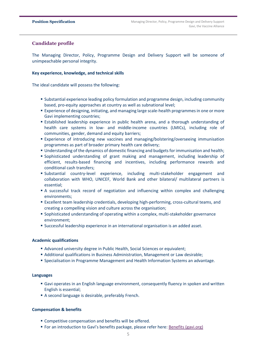## **Candidate profile**

The Managing Director, Policy, Programme Design and Delivery Support will be someone of unimpeachable personal integrity.

#### **Key experience, knowledge, and technical skills**

The ideal candidate will possess the following:

- **E** Substantial experience leading policy formulation and programme design, including community based, pro-equity approaches at country as well as subnational level;
- **Experience of designing, initiating, and managing large scale-health programmes in one or more** Gavi implementing countries;
- Established leadership experience in public health arena, and a thorough understanding of health care systems in low- and middle-income countries (LMICs), including role of communities, gender, demand and equity barriers;
- **Experience of introducing new vaccines and managing/bolstering/overseeing immunisation** programmes as part of broader primary health care delivery;
- **Understanding of the dynamics of domestic financing and budgets for immunisation and health;**
- Sophisticated understanding of grant making and management, including leadership of efficient, results-based financing and incentives, including performance rewards and conditional cash transfers;
- Substantial country-level experience, including multi-stakeholder engagement and collaboration with WHO, UNICEF, World Bank and other bilateral/ multilateral partners is essential;
- A successful track record of negotiation and influencing within complex and challenging environments;
- **Excellent team leadership credentials, developing high-performing, cross-cultural teams, and** creating a compelling vision and culture across the organisation;
- Sophisticated understanding of operating within a complex, multi-stakeholder governance environment;
- **E** Successful leadership experience in an international organisation is an added asset.

#### **Academic qualifications**

- Advanced university degree in Public Health, Social Sciences or equivalent;
- Additional qualifications in Business Administration, Management or Law desirable;
- Specialisation in Programme Management and Health Information Systems an advantage.

#### **Languages**

- Gavi operates in an English language environment, consequently fluency in spoken and written English is essential;
- A second language is desirable, preferably French.

#### **Compensation & benefits**

- Competitive compensation and benefits will be offered.
- For an introduction to Gavi's benefits package, please refer here: [Benefits \(gavi.org\)](https://www.gavi.org/our-alliance/work-us/benefits)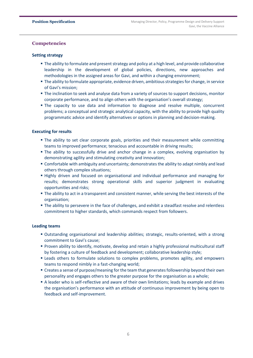## **Competencies**

#### **Setting strategy**

- The ability to formulate and present strategy and policy at a high level, and provide collaborative leadership in the development of global policies, directions, new approaches and methodologies in the assigned areas for Gavi, and within a changing environment;
- **The ability to formulate appropriate, evidence driven, ambitious strategies for change, in service** of Gavi's mission;
- The inclination to seek and analyse data from a variety of sources to support decisions, monitor corporate performance, and to align others with the organisation's overall strategy;
- **The capacity to use data and information to diagnose and resolve multiple, concurrent** problems; a conceptual and strategic analytical capacity, with the ability to provide high quality programmatic advice and identify alternatives or options in planning and decision-making.

## **Executing for results**

- **The ability to set clear corporate goals, priorities and their measurement while committing** teams to improved performance; tenacious and accountable in driving results;
- **The ability to successfully drive and anchor change in a complex, evolving organisation by** demonstrating agility and stimulating creativity and innovation;
- **EX Comfortable with ambiguity and uncertainty; demonstrates the ability to adapt nimbly and lead** others through complex situations;
- **.** Highly driven and focused on organisational and individual performance and managing for results; demonstrates strong operational skills and superior judgment in evaluating opportunities and risks;
- **The ability to act in a transparent and consistent manner, while serving the best interests of the** organisation;
- **The ability to persevere in the face of challenges, and exhibit a steadfast resolve and relentless** commitment to higher standards, which commands respect from followers.

## **Leading teams**

- Outstanding organisational and leadership abilities; strategic, results-oriented, with a strong commitment to Gavi's cause;
- Proven ability to identify, motivate, develop and retain a highly professional multicultural staff by fostering a culture of feedback and development; collaborative leadership style;
- **.** Leads others to formulate solutions to complex problems, promotes agility, and empowers teams to respond nimbly in a fast-changing world;
- **Creates a sense of purpose/meaning for the team that generates followership beyond their own** personality and engages others to the greater purpose for the organisation as a whole;
- A leader who is self-reflective and aware of their own limitations; leads by example and drives the organisation's performance with an attitude of continuous improvement by being open to feedback and self-improvement.